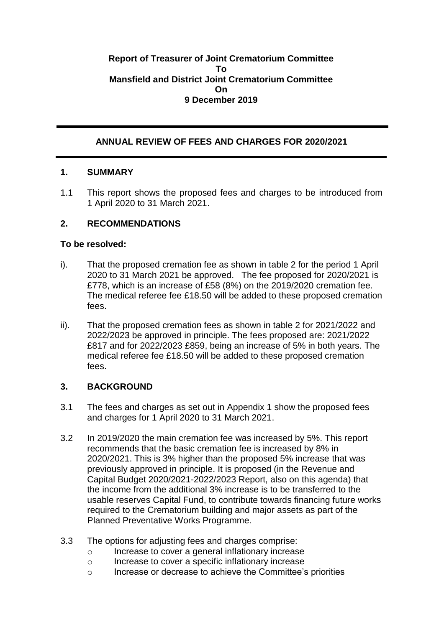## **Report of Treasurer of Joint Crematorium Committee To Mansfield and District Joint Crematorium Committee On 9 December 2019**

# **ANNUAL REVIEW OF FEES AND CHARGES FOR 2020/2021**

## **1. SUMMARY**

1.1 This report shows the proposed fees and charges to be introduced from 1 April 2020 to 31 March 2021.

## **2. RECOMMENDATIONS**

### **To be resolved:**

- i). That the proposed cremation fee as shown in table 2 for the period 1 April 2020 to 31 March 2021 be approved. The fee proposed for 2020/2021 is £778, which is an increase of £58 (8%) on the 2019/2020 cremation fee. The medical referee fee £18.50 will be added to these proposed cremation fees.
- ii). That the proposed cremation fees as shown in table 2 for 2021/2022 and 2022/2023 be approved in principle. The fees proposed are: 2021/2022 £817 and for 2022/2023 £859, being an increase of 5% in both years. The medical referee fee £18.50 will be added to these proposed cremation fees.

## **3. BACKGROUND**

- 3.1 The fees and charges as set out in Appendix 1 show the proposed fees and charges for 1 April 2020 to 31 March 2021.
- 3.2 In 2019/2020 the main cremation fee was increased by 5%. This report recommends that the basic cremation fee is increased by 8% in 2020/2021. This is 3% higher than the proposed 5% increase that was previously approved in principle. It is proposed (in the Revenue and Capital Budget 2020/2021-2022/2023 Report, also on this agenda) that the income from the additional 3% increase is to be transferred to the usable reserves Capital Fund, to contribute towards financing future works required to the Crematorium building and major assets as part of the Planned Preventative Works Programme.
- 3.3 The options for adjusting fees and charges comprise:
	- o Increase to cover a general inflationary increase
	- o Increase to cover a specific inflationary increase
	- o Increase or decrease to achieve the Committee's priorities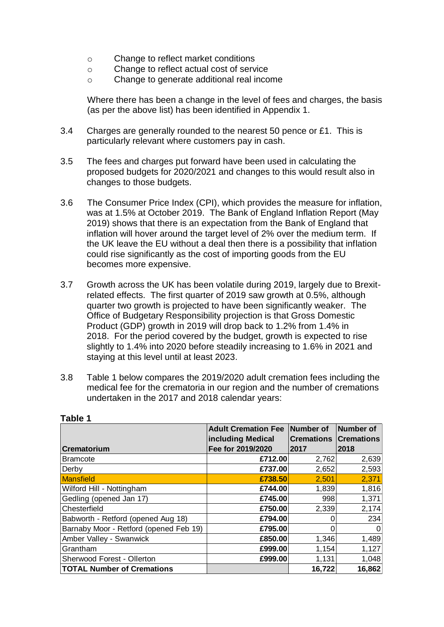- o Change to reflect market conditions
- o Change to reflect actual cost of service
- o Change to generate additional real income

Where there has been a change in the level of fees and charges, the basis (as per the above list) has been identified in Appendix 1.

- 3.4 Charges are generally rounded to the nearest 50 pence or £1. This is particularly relevant where customers pay in cash.
- 3.5 The fees and charges put forward have been used in calculating the proposed budgets for 2020/2021 and changes to this would result also in changes to those budgets.
- 3.6 The Consumer Price Index (CPI), which provides the measure for inflation, was at 1.5% at October 2019. The Bank of England Inflation Report (May 2019) shows that there is an expectation from the Bank of England that inflation will hover around the target level of 2% over the medium term. If the UK leave the EU without a deal then there is a possibility that inflation could rise significantly as the cost of importing goods from the EU becomes more expensive.
- 3.7 Growth across the UK has been volatile during 2019, largely due to Brexitrelated effects. The first quarter of 2019 saw growth at 0.5%, although quarter two growth is projected to have been significantly weaker. The Office of Budgetary Responsibility projection is that Gross Domestic Product (GDP) growth in 2019 will drop back to 1.2% from 1.4% in 2018. For the period covered by the budget, growth is expected to rise slightly to 1.4% into 2020 before steadily increasing to 1.6% in 2021 and staying at this level until at least 2023.
- 3.8 Table 1 below compares the 2019/2020 adult cremation fees including the medical fee for the crematoria in our region and the number of cremations undertaken in the 2017 and 2018 calendar years:

|                                        | <b>Adult Cremation Fee</b> | Number of         | Number of         |
|----------------------------------------|----------------------------|-------------------|-------------------|
|                                        | <b>including Medical</b>   | <b>Cremations</b> | <b>Cremations</b> |
| <b>Crematorium</b>                     | Fee for 2019/2020          | 2017              | 2018              |
| <b>Bramcote</b>                        | £712.00                    | 2,762             | 2,639             |
| Derby                                  | £737.00                    | 2,652             | 2,593             |
| Mansfield                              | £738.50                    | 2,501             | 2,371             |
| Wilford Hill - Nottingham              | £744.00                    | 1,839             | 1,816             |
| Gedling (opened Jan 17)                | £745.00                    | 998               | 1,371             |
| Chesterfield                           | £750.00                    | 2,339             | 2,174             |
| Babworth - Retford (opened Aug 18)     | £794.00                    |                   | 234               |
| Barnaby Moor - Retford (opened Feb 19) | £795.00                    |                   |                   |
| Amber Valley - Swanwick                | £850.00                    | 1,346             | 1,489             |
| Grantham                               | £999.00                    | 1,154             | 1,127             |
| Sherwood Forest - Ollerton             | £999.00                    | 1,131             | 1,048             |
| <b>TOTAL Number of Cremations</b>      |                            | 16,722            | 16,862            |

#### **Table 1**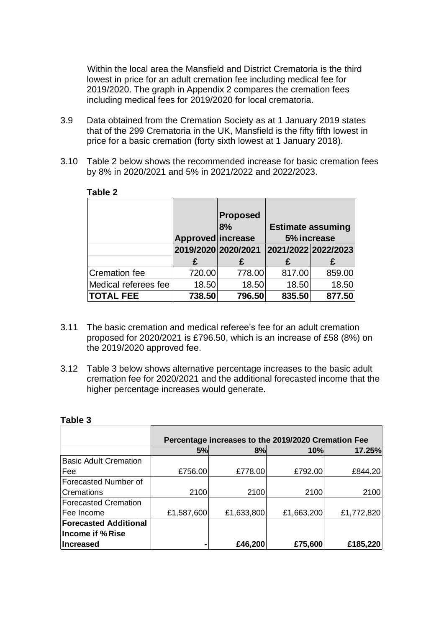Within the local area the Mansfield and District Crematoria is the third lowest in price for an adult cremation fee including medical fee for 2019/2020. The graph in Appendix 2 compares the cremation fees including medical fees for 2019/2020 for local crematoria.

- 3.9 Data obtained from the Cremation Society as at 1 January 2019 states that of the 299 Crematoria in the UK, Mansfield is the fifty fifth lowest in price for a basic cremation (forty sixth lowest at 1 January 2018).
- 3.10 Table 2 below shows the recommended increase for basic cremation fees by 8% in 2020/2021 and 5% in 2021/2022 and 2022/2023.

|                      | Approved increase   | <b>Proposed</b><br>8% | <b>Estimate assuming</b><br>5% increase |        |
|----------------------|---------------------|-----------------------|-----------------------------------------|--------|
|                      | 2019/2020 2020/2021 |                       | 2021/2022 2022/2023                     |        |
|                      |                     | £                     |                                         | £      |
| Cremation fee        | 720.00              | 778.00                | 817.00                                  | 859.00 |
| Medical referees fee | 18.50               | 18.50                 | 18.50                                   | 18.50  |
| <b>TOTAL FEE</b>     | 738.50              | 796.50                | 835.50                                  | 877.50 |

#### **Table 2**

- 3.11 The basic cremation and medical referee's fee for an adult cremation proposed for 2020/2021 is £796.50, which is an increase of £58 (8%) on the 2019/2020 approved fee.
- 3.12 Table 3 below shows alternative percentage increases to the basic adult cremation fee for 2020/2021 and the additional forecasted income that the higher percentage increases would generate.

| Table 3 |  |
|---------|--|
|         |  |
|         |  |

 $\blacksquare$ 

|                              | Percentage increases to the 2019/2020 Cremation Fee |            |            |            |
|------------------------------|-----------------------------------------------------|------------|------------|------------|
|                              | 5%                                                  | 8%         | 10%        | 17.25%     |
| <b>Basic Adult Cremation</b> |                                                     |            |            |            |
| Fee                          | £756.00                                             | £778.00    | £792.00    | £844.20    |
| Forecasted Number of         |                                                     |            |            |            |
| Cremations                   | 2100                                                | 2100       | 2100       | 2100       |
| <b>Forecasted Cremation</b>  |                                                     |            |            |            |
| Fee Income                   | £1,587,600                                          | £1,633,800 | £1,663,200 | £1,772,820 |
| <b>Forecasted Additional</b> |                                                     |            |            |            |
| Income if % Rise             |                                                     |            |            |            |
| Increased                    |                                                     | £46,200    | £75,600    | £185,220   |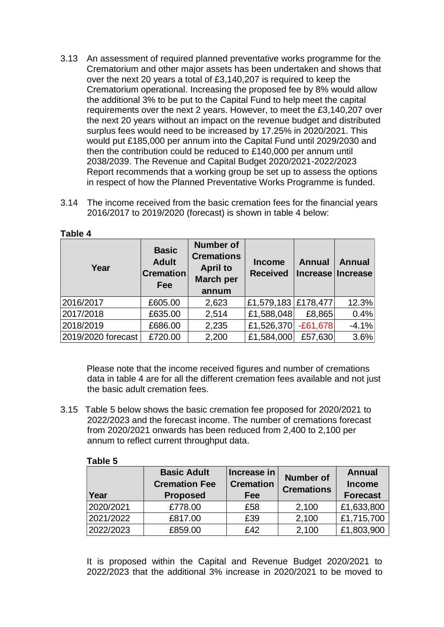- 3.13 An assessment of required planned preventative works programme for the Crematorium and other major assets has been undertaken and shows that over the next 20 years a total of £3,140,207 is required to keep the Crematorium operational. Increasing the proposed fee by 8% would allow the additional 3% to be put to the Capital Fund to help meet the capital requirements over the next 2 years. However, to meet the £3,140,207 over the next 20 years without an impact on the revenue budget and distributed surplus fees would need to be increased by 17.25% in 2020/2021. This would put £185,000 per annum into the Capital Fund until 2029/2030 and then the contribution could be reduced to £140,000 per annum until 2038/2039. The Revenue and Capital Budget 2020/2021-2022/2023 Report recommends that a working group be set up to assess the options in respect of how the Planned Preventative Works Programme is funded.
- 3.14 The income received from the basic cremation fees for the financial years 2016/2017 to 2019/2020 (forecast) is shown in table 4 below:

| Year               | <b>Basic</b><br><b>Adult</b><br><b>Cremation</b><br>Fee | <b>Number of</b><br><b>Cremations</b><br><b>April to</b><br><b>March per</b><br>annum | <b>Income</b><br><b>Received</b> | <b>Annual</b> | <b>Annual</b><br>Increase Increase |
|--------------------|---------------------------------------------------------|---------------------------------------------------------------------------------------|----------------------------------|---------------|------------------------------------|
| 2016/2017          | £605.00                                                 | 2,623                                                                                 | £1,579,183 £178,477              |               | 12.3%                              |
| 2017/2018          | £635.00                                                 | 2,514                                                                                 | £1,588,048                       | £8,865        | 0.4%                               |
| 2018/2019          | £686.00                                                 | 2,235                                                                                 | £1,526,370                       | $-E61,678$    | $-4.1%$                            |
| 2019/2020 forecast | £720.00                                                 | 2,200                                                                                 | £1,584,000                       | £57,630       | 3.6%                               |

#### **Table 4**

Please note that the income received figures and number of cremations data in table 4 are for all the different cremation fees available and not just the basic adult cremation fees.

3.15 Table 5 below shows the basic cremation fee proposed for 2020/2021 to 2022/2023 and the forecast income. The number of cremations forecast from 2020/2021 onwards has been reduced from 2,400 to 2,100 per annum to reflect current throughput data.

#### **Table 5**

| Year      | <b>Basic Adult</b><br><b>Cremation Fee</b><br><b>Proposed</b> | Increase in<br><b>Cremation</b><br>Fee | <b>Number of</b><br><b>Cremations</b> | <b>Annual</b><br><b>Income</b><br><b>Forecast</b> |
|-----------|---------------------------------------------------------------|----------------------------------------|---------------------------------------|---------------------------------------------------|
| 2020/2021 | £778.00                                                       | £58                                    | 2,100                                 | £1,633,800                                        |
| 2021/2022 | £817.00                                                       | £39                                    | 2,100                                 | £1,715,700                                        |
| 2022/2023 | £859.00                                                       | f42                                    | 2,100                                 | £1,803,900                                        |

It is proposed within the Capital and Revenue Budget 2020/2021 to 2022/2023 that the additional 3% increase in 2020/2021 to be moved to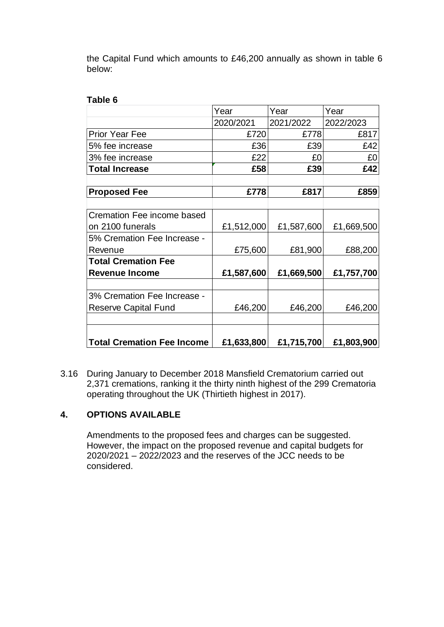the Capital Fund which amounts to £46,200 annually as shown in table 6 below:

**Table 6**

|                                   | Year       | Year       | Year       |
|-----------------------------------|------------|------------|------------|
|                                   | 2020/2021  | 2021/2022  | 2022/2023  |
| <b>Prior Year Fee</b>             | £720       | £778       | £817       |
| 5% fee increase                   | £36        | £39        | £42        |
| 3% fee increase                   | £22        | £0         | £0         |
| <b>Total Increase</b>             | £58        | £39        | £42        |
| <b>Proposed Fee</b>               | £778       | £817       | £859       |
| Cremation Fee income based        |            |            |            |
| on 2100 funerals                  | £1,512,000 | £1,587,600 | £1,669,500 |
| 5% Cremation Fee Increase -       |            |            |            |
| Revenue                           | £75,600    | £81,900    | £88,200    |
| <b>Total Cremation Fee</b>        |            |            |            |
| <b>Revenue Income</b>             | £1,587,600 | £1,669,500 | £1,757,700 |
| 3% Cremation Fee Increase -       |            |            |            |
| <b>Reserve Capital Fund</b>       | £46,200    | £46,200    | £46,200    |
|                                   |            |            |            |
| <b>Total Cremation Fee Income</b> | £1,633,800 | £1,715,700 | £1,803,900 |

3.16 During January to December 2018 Mansfield Crematorium carried out 2,371 cremations, ranking it the thirty ninth highest of the 299 Crematoria operating throughout the UK (Thirtieth highest in 2017).

# **4. OPTIONS AVAILABLE**

Amendments to the proposed fees and charges can be suggested. However, the impact on the proposed revenue and capital budgets for 2020/2021 – 2022/2023 and the reserves of the JCC needs to be considered.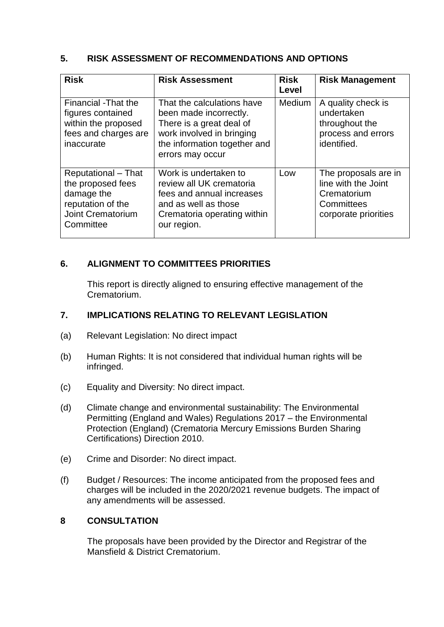# **5. RISK ASSESSMENT OF RECOMMENDATIONS AND OPTIONS**

| <b>Risk</b>                                                                                                          | <b>Risk Assessment</b>                                                                                                                                            | <b>Risk</b><br>Level | <b>Risk Management</b>                                                                           |
|----------------------------------------------------------------------------------------------------------------------|-------------------------------------------------------------------------------------------------------------------------------------------------------------------|----------------------|--------------------------------------------------------------------------------------------------|
| Financial -That the<br>figures contained<br>within the proposed<br>fees and charges are<br>inaccurate                | That the calculations have<br>been made incorrectly.<br>There is a great deal of<br>work involved in bringing<br>the information together and<br>errors may occur | <b>Medium</b>        | A quality check is<br>undertaken<br>throughout the<br>process and errors<br>identified.          |
| <b>Reputational – That</b><br>the proposed fees<br>damage the<br>reputation of the<br>Joint Crematorium<br>Committee | Work is undertaken to<br>review all UK crematoria<br>fees and annual increases<br>and as well as those<br>Crematoria operating within<br>our region.              | Low                  | The proposals are in<br>line with the Joint<br>Crematorium<br>Committees<br>corporate priorities |

# **6. ALIGNMENT TO COMMITTEES PRIORITIES**

This report is directly aligned to ensuring effective management of the Crematorium.

# **7. IMPLICATIONS RELATING TO RELEVANT LEGISLATION**

- (a) Relevant Legislation: No direct impact
- (b) Human Rights: It is not considered that individual human rights will be infringed.
- (c) Equality and Diversity: No direct impact.
- (d) Climate change and environmental sustainability: The Environmental Permitting (England and Wales) Regulations 2017 – the Environmental Protection (England) (Crematoria Mercury Emissions Burden Sharing Certifications) Direction 2010.
- (e) Crime and Disorder: No direct impact.
- (f) Budget / Resources: The income anticipated from the proposed fees and charges will be included in the 2020/2021 revenue budgets. The impact of any amendments will be assessed.

## **8 CONSULTATION**

The proposals have been provided by the Director and Registrar of the Mansfield & District Crematorium.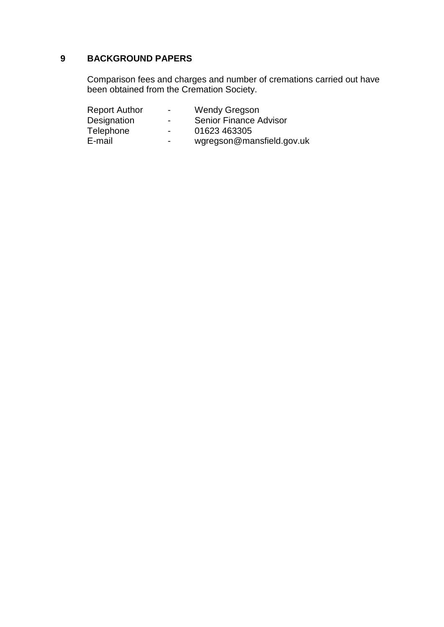# **9 BACKGROUND PAPERS**

Comparison fees and charges and number of cremations carried out have been obtained from the Cremation Society.

| <b>Report Author</b> | $\blacksquare$ | <b>Wendy Gregson</b>          |
|----------------------|----------------|-------------------------------|
| Designation          | $\blacksquare$ | <b>Senior Finance Advisor</b> |
| Telephone            | $\blacksquare$ | 01623 463305                  |
| E-mail               | $\blacksquare$ | wgregson@mansfield.gov.uk     |